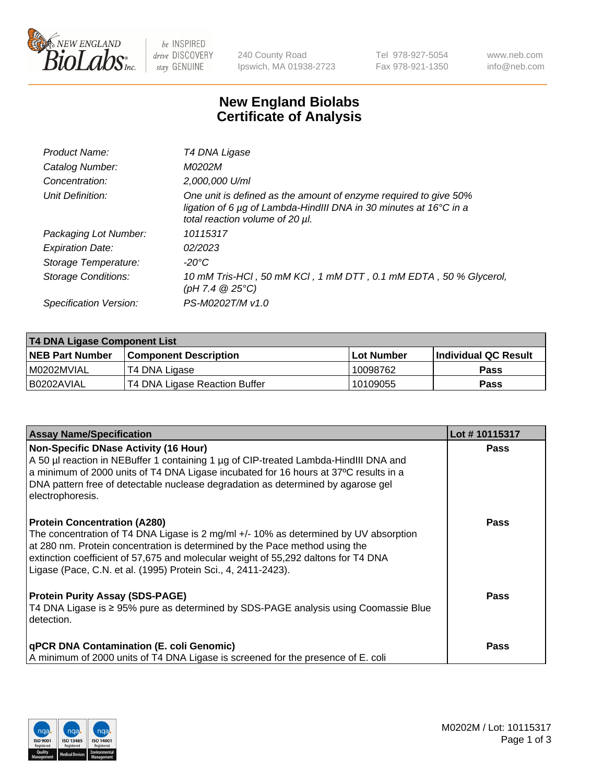

 $be$  INSPIRED drive DISCOVERY stay GENUINE

240 County Road Ipswich, MA 01938-2723 Tel 978-927-5054 Fax 978-921-1350 www.neb.com info@neb.com

## **New England Biolabs Certificate of Analysis**

| Product Name:           | T4 DNA Ligase                                                                                                                                                            |
|-------------------------|--------------------------------------------------------------------------------------------------------------------------------------------------------------------------|
| Catalog Number:         | M0202M                                                                                                                                                                   |
| Concentration:          | 2,000,000 U/ml                                                                                                                                                           |
| Unit Definition:        | One unit is defined as the amount of enzyme required to give 50%<br>ligation of 6 µg of Lambda-HindIII DNA in 30 minutes at 16°C in a<br>total reaction volume of 20 µl. |
| Packaging Lot Number:   | 10115317                                                                                                                                                                 |
| <b>Expiration Date:</b> | 02/2023                                                                                                                                                                  |
| Storage Temperature:    | -20°C                                                                                                                                                                    |
| Storage Conditions:     | 10 mM Tris-HCl, 50 mM KCl, 1 mM DTT, 0.1 mM EDTA, 50 % Glycerol,<br>$(pH 7.4 \ @ 25^{\circ}C)$                                                                           |
| Specification Version:  | PS-M0202T/M v1.0                                                                                                                                                         |

| T4 DNA Ligase Component List |                               |              |                             |  |  |
|------------------------------|-------------------------------|--------------|-----------------------------|--|--|
| <b>NEB Part Number</b>       | l Component Description       | l Lot Number | <b>Individual QC Result</b> |  |  |
| I M0202MVIAL                 | T4 DNA Ligase                 | 10098762     | <b>Pass</b>                 |  |  |
| I B0202AVIAL                 | T4 DNA Ligase Reaction Buffer | 10109055     | <b>Pass</b>                 |  |  |

| <b>Assay Name/Specification</b>                                                                                                                                                                                                                                                                                                                                   | Lot #10115317 |
|-------------------------------------------------------------------------------------------------------------------------------------------------------------------------------------------------------------------------------------------------------------------------------------------------------------------------------------------------------------------|---------------|
| <b>Non-Specific DNase Activity (16 Hour)</b><br>A 50 µl reaction in NEBuffer 1 containing 1 µg of CIP-treated Lambda-HindIII DNA and<br>a minimum of 2000 units of T4 DNA Ligase incubated for 16 hours at 37°C results in a<br>DNA pattern free of detectable nuclease degradation as determined by agarose gel<br>electrophoresis.                              | <b>Pass</b>   |
| <b>Protein Concentration (A280)</b><br>The concentration of T4 DNA Ligase is 2 mg/ml +/- 10% as determined by UV absorption<br>at 280 nm. Protein concentration is determined by the Pace method using the<br>extinction coefficient of 57,675 and molecular weight of 55,292 daltons for T4 DNA<br>Ligase (Pace, C.N. et al. (1995) Protein Sci., 4, 2411-2423). | Pass          |
| <b>Protein Purity Assay (SDS-PAGE)</b><br>T4 DNA Ligase is ≥ 95% pure as determined by SDS-PAGE analysis using Coomassie Blue<br>detection.                                                                                                                                                                                                                       | <b>Pass</b>   |
| <b>qPCR DNA Contamination (E. coli Genomic)</b><br>A minimum of 2000 units of T4 DNA Ligase is screened for the presence of E. coli                                                                                                                                                                                                                               | <b>Pass</b>   |

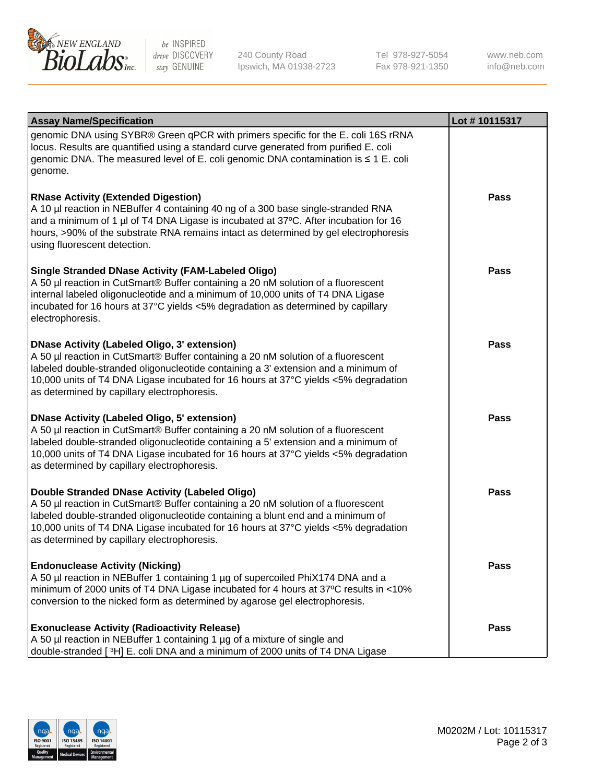

be INSPIRED drive DISCOVERY stay GENUINE

240 County Road Ipswich, MA 01938-2723 Tel 978-927-5054 Fax 978-921-1350

www.neb.com info@neb.com

| <b>Assay Name/Specification</b>                                                                                                                                                                                                                                                                                                                                      | Lot #10115317 |
|----------------------------------------------------------------------------------------------------------------------------------------------------------------------------------------------------------------------------------------------------------------------------------------------------------------------------------------------------------------------|---------------|
| genomic DNA using SYBR® Green qPCR with primers specific for the E. coli 16S rRNA<br>locus. Results are quantified using a standard curve generated from purified E. coli<br>genomic DNA. The measured level of E. coli genomic DNA contamination is ≤ 1 E. coli<br>genome.                                                                                          |               |
| <b>RNase Activity (Extended Digestion)</b><br>A 10 µl reaction in NEBuffer 4 containing 40 ng of a 300 base single-stranded RNA<br>and a minimum of 1 µl of T4 DNA Ligase is incubated at 37°C. After incubation for 16<br>hours, >90% of the substrate RNA remains intact as determined by gel electrophoresis<br>using fluorescent detection.                      | <b>Pass</b>   |
| <b>Single Stranded DNase Activity (FAM-Labeled Oligo)</b><br>A 50 µl reaction in CutSmart® Buffer containing a 20 nM solution of a fluorescent<br>internal labeled oligonucleotide and a minimum of 10,000 units of T4 DNA Ligase<br>incubated for 16 hours at 37°C yields <5% degradation as determined by capillary<br>electrophoresis.                            | <b>Pass</b>   |
| DNase Activity (Labeled Oligo, 3' extension)<br>A 50 µl reaction in CutSmart® Buffer containing a 20 nM solution of a fluorescent<br>labeled double-stranded oligonucleotide containing a 3' extension and a minimum of<br>10,000 units of T4 DNA Ligase incubated for 16 hours at 37°C yields <5% degradation<br>as determined by capillary electrophoresis.        | <b>Pass</b>   |
| <b>DNase Activity (Labeled Oligo, 5' extension)</b><br>A 50 µl reaction in CutSmart® Buffer containing a 20 nM solution of a fluorescent<br>labeled double-stranded oligonucleotide containing a 5' extension and a minimum of<br>10,000 units of T4 DNA Ligase incubated for 16 hours at 37°C yields <5% degradation<br>as determined by capillary electrophoresis. | <b>Pass</b>   |
| <b>Double Stranded DNase Activity (Labeled Oligo)</b><br>A 50 µl reaction in CutSmart® Buffer containing a 20 nM solution of a fluorescent<br>labeled double-stranded oligonucleotide containing a blunt end and a minimum of<br>10,000 units of T4 DNA Ligase incubated for 16 hours at 37°C yields <5% degradation<br>as determined by capillary electrophoresis.  | <b>Pass</b>   |
| <b>Endonuclease Activity (Nicking)</b><br>A 50 µl reaction in NEBuffer 1 containing 1 µg of supercoiled PhiX174 DNA and a<br>minimum of 2000 units of T4 DNA Ligase incubated for 4 hours at 37°C results in <10%<br>conversion to the nicked form as determined by agarose gel electrophoresis.                                                                     | <b>Pass</b>   |
| <b>Exonuclease Activity (Radioactivity Release)</b><br>A 50 µl reaction in NEBuffer 1 containing 1 µg of a mixture of single and<br>double-stranded [3H] E. coli DNA and a minimum of 2000 units of T4 DNA Ligase                                                                                                                                                    | <b>Pass</b>   |